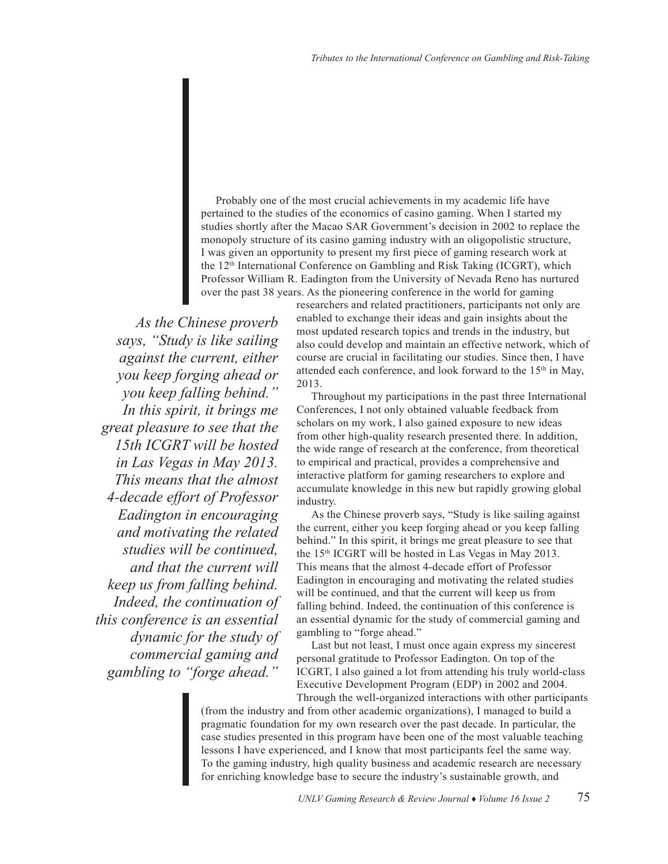Probably one of the most crucial achievements in my academic life have pertained to the studies of the economics of casino gaming. When I started my studies shortly after the Macao SAR Government's decision in 2002 to replace the monopoly structure of its casino gaming industry with an oligopolistic structure, I was given an opportunity to present my first piece of gaming research work at the 12th International Conference on Gambling and Risk Taking (ICGRT), which Professor William R. Eadington from the University of Nevada Reno has nurtured over the past 38 years. As the pioneering conference in the world for gaming

*As the Chinese proverb says, "Study is like sailing against the current, either you keep forging ahead or you keep falling behind." In this spirit, it brings me great pleasure to see that the 15th ICGRT will be hosted in Las Vegas in May 2013. This means that the almost 4-decade effort of Professor Eadington in encouraging and motivating the related studies will be continued, and that the current will keep us from falling behind. Indeed, the continuation of this conference is an essential dynamic for the study of commercial gaming and gambling to "forge ahead."* 

researchers and related practitioners, participants not only are enabled to exchange their ideas and gain insights about the most updated research topics and trends in the industry, but also could develop and maintain an effective network, which of course are crucial in facilitating our studies. Since then, I have attended each conference, and look forward to the 15<sup>th</sup> in May, 2013.

Throughout my participations in the past three International Conferences, I not only obtained valuable feedback from scholars on my work, I also gained exposure to new ideas from other high-quality research presented there. In addition, the wide range of research at the conference, from theoretical to empirical and practical, provides a comprehensive and interactive platform for gaming researchers to explore and accumulate knowledge in this new but rapidly growing global industry.

As the Chinese proverb says, "Study is like sailing against the current, either you keep forging ahead or you keep falling behind." In this spirit, it brings me great pleasure to see that the 15th ICGRT will be hosted in Las Vegas in May 2013. This means that the almost 4-decade effort of Professor Eadington in encouraging and motivating the related studies will be continued, and that the current will keep us from falling behind. Indeed, the continuation of this conference is an essential dynamic for the study of commercial gaming and gambling to "forge ahead."

Last but not least, I must once again express my sincerest personal gratitude to Professor Eadington. On top of the ICGRT, I also gained a lot from attending his truly world-class Executive Development Program (EDP) in 2002 and 2004. Through the well-organized interactions with other participants

(from the industry and from other academic organizations), I managed to build a pragmatic foundation for my own research over the past decade. In particular, the case studies presented in this program have been one of the most valuable teaching lessons I have experienced, and I know that most participants feel the same way. To the gaming industry, high quality business and academic research are necessary for enriching knowledge base to secure the industry's sustainable growth, and